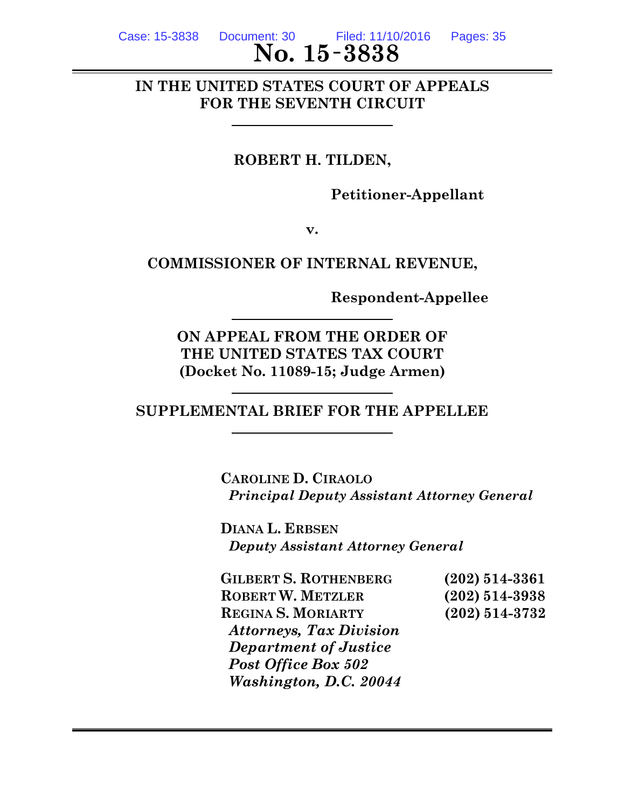Case: 15-3838 Document: 30 Filed: 11/10/2016 Pages: 35

# **No. 15** - 3838

# **IN THE UNITED STATES COURT OF APPEALS FOR THE SEVENTH CIRCUIT**

# **ROBERT H. TILDEN,**

**Petitioner-Appellant**

**v.**

# **COMMISSIONER OF INTERNAL REVENUE,**

**Respondent-Appellee**

**ON APPEAL FROM THE ORDER OF THE UNITED STATES TAX COURT (Docket No. 11089-15; Judge Armen)**

**SUPPLEMENTAL BRIEF FOR THE APPELLEE**

**CAROLINE D. CIRAOLO** *Principal Deputy Assistant Attorney General*

**DIANA L. ERBSEN** *Deputy Assistant Attorney General*

**GILBERT S. ROTHENBERG (202) 514-3361 ROBERT W. METZLER (202) 514-3938 REGINA S. MORIARTY (202) 514-3732** *Attorneys, Tax Division Department of Justice Post Office Box 502 Washington, D.C. 20044*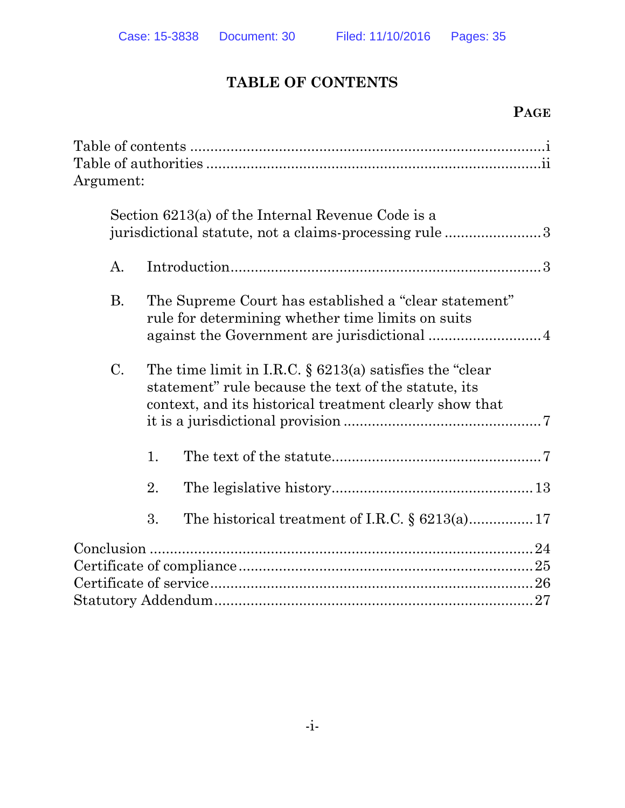# **TABLE OF CONTENTS**

# **PAGE**

| Argument:      |    |                                                                                                                                                                               |  |
|----------------|----|-------------------------------------------------------------------------------------------------------------------------------------------------------------------------------|--|
|                |    | Section 6213(a) of the Internal Revenue Code is a<br>jurisdictional statute, not a claims-processing rule 3                                                                   |  |
| $\mathbf{A}$ . |    |                                                                                                                                                                               |  |
| <b>B.</b>      |    | The Supreme Court has established a "clear statement"<br>rule for determining whether time limits on suits                                                                    |  |
| C.             |    | The time limit in I.R.C. $\S$ 6213(a) satisfies the "clear<br>statement" rule because the text of the statute, its<br>context, and its historical treatment clearly show that |  |
|                | 1. |                                                                                                                                                                               |  |
|                | 2. |                                                                                                                                                                               |  |
|                | 3. |                                                                                                                                                                               |  |
|                |    |                                                                                                                                                                               |  |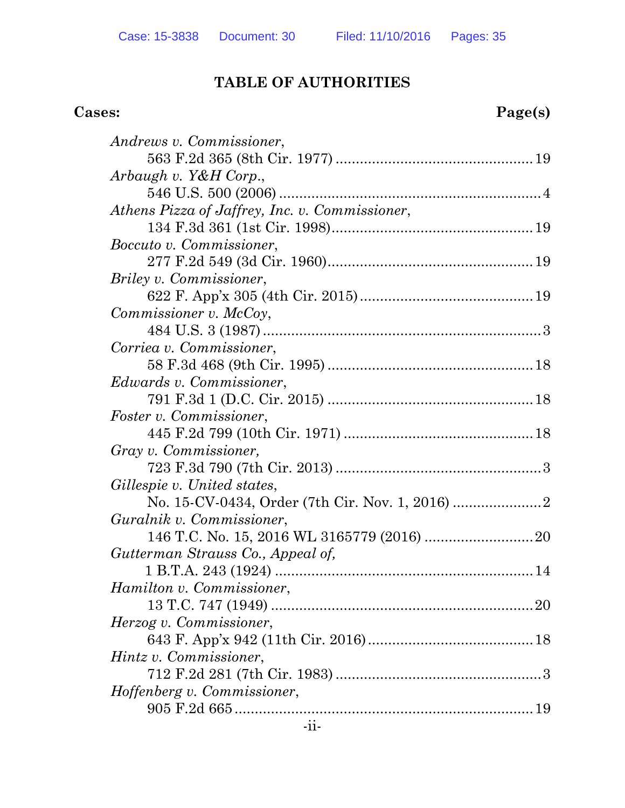# **TABLE OF AUTHORITIES**

# **Cases: Page(s)**

| Andrews v. Commissioner,                       |
|------------------------------------------------|
|                                                |
| Arbaugh v. Y&H Corp.,                          |
|                                                |
| Athens Pizza of Jaffrey, Inc. v. Commissioner, |
|                                                |
| <i>Boccuto v. Commissioner,</i>                |
|                                                |
| <i>Briley v. Commissioner,</i>                 |
|                                                |
| Commissioner v. McCoy,                         |
|                                                |
| Corriea v. Commissioner,                       |
|                                                |
| <i>Edwards v. Commissioner,</i>                |
|                                                |
| <i>Foster v. Commissioner,</i>                 |
|                                                |
| Gray v. Commissioner,                          |
|                                                |
| Gillespie v. United states,                    |
|                                                |
| Guralnik v. Commissioner,                      |
|                                                |
| Gutterman Strauss Co., Appeal of,              |
|                                                |
| Hamilton v. Commissioner,                      |
|                                                |
| Herzog v. Commissioner,                        |
|                                                |
| Hintz v. Commissioner,                         |
|                                                |
| Hoffenberg v. Commissioner,                    |
|                                                |
|                                                |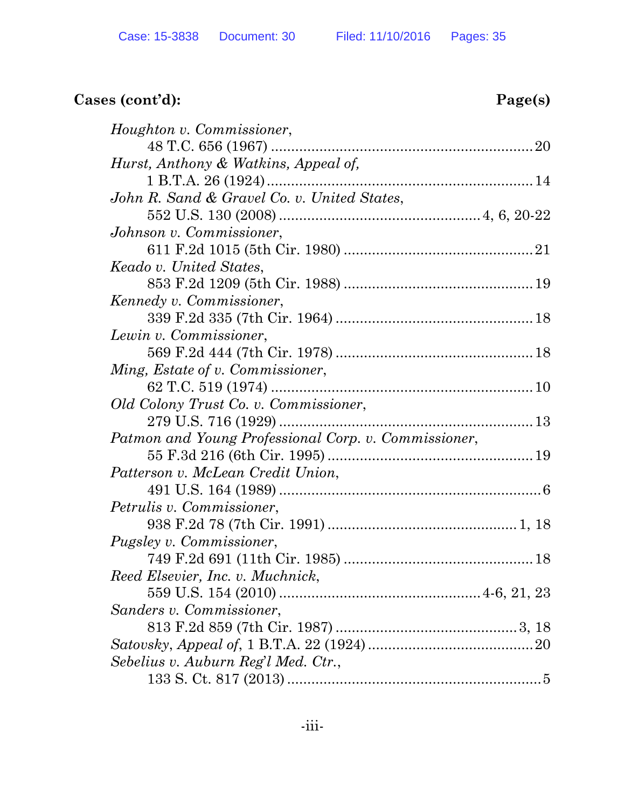# **Cases (cont'd): Page(s)**

| Houghton v. Commissioner,                            |  |
|------------------------------------------------------|--|
|                                                      |  |
| Hurst, Anthony & Watkins, Appeal of,                 |  |
|                                                      |  |
| John R. Sand & Gravel Co. v. United States,          |  |
|                                                      |  |
| Johnson v. Commissioner,                             |  |
|                                                      |  |
| Keado v. United States,                              |  |
|                                                      |  |
| Kennedy v. Commissioner,                             |  |
|                                                      |  |
| Lewin v. Commissioner,                               |  |
|                                                      |  |
| Ming, Estate of v. Commissioner,                     |  |
|                                                      |  |
| Old Colony Trust Co. v. Commissioner,                |  |
|                                                      |  |
| Patmon and Young Professional Corp. v. Commissioner, |  |
|                                                      |  |
| Patterson v. McLean Credit Union,                    |  |
|                                                      |  |
| Petrulis v. Commissioner,                            |  |
|                                                      |  |
| <i>Pugsley v. Commissioner,</i>                      |  |
|                                                      |  |
| Reed Elsevier, Inc. v. Muchnick,                     |  |
|                                                      |  |
| Sanders v. Commissioner,                             |  |
|                                                      |  |
|                                                      |  |
| Sebelius v. Auburn Reg'l Med. Ctr.,                  |  |
|                                                      |  |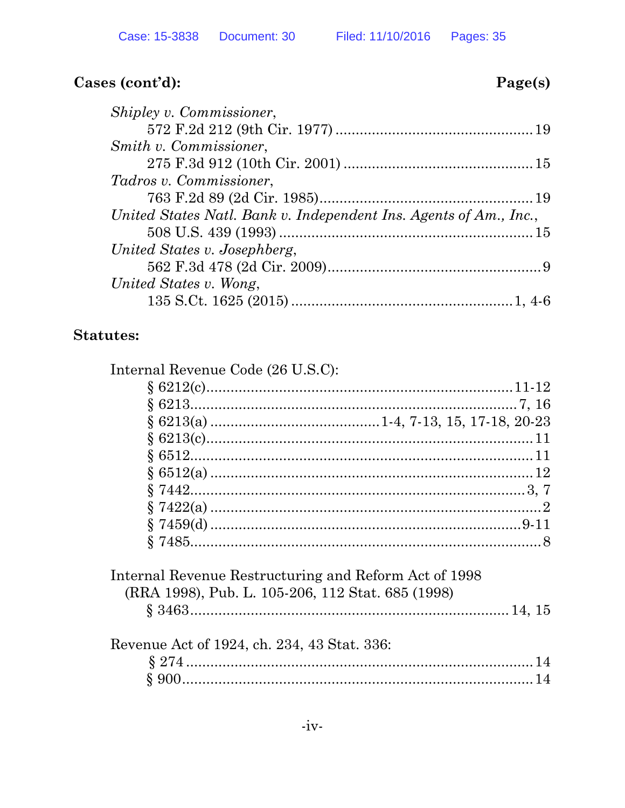# Cases (cont'd):

# Page(s)

| Shipley v. Commissioner,                                          |  |
|-------------------------------------------------------------------|--|
|                                                                   |  |
| Smith v. Commissioner,                                            |  |
|                                                                   |  |
| Tadros v. Commissioner.                                           |  |
|                                                                   |  |
| United States Natl. Bank v. Independent Ins. Agents of Am., Inc., |  |
|                                                                   |  |
| United States v. Josephberg,                                      |  |
|                                                                   |  |
| United States v. Wong,                                            |  |
|                                                                   |  |
|                                                                   |  |

# **Statutes:**

| Internal Revenue Code (26 U.S.C):                                                                          |  |
|------------------------------------------------------------------------------------------------------------|--|
|                                                                                                            |  |
|                                                                                                            |  |
|                                                                                                            |  |
|                                                                                                            |  |
|                                                                                                            |  |
|                                                                                                            |  |
|                                                                                                            |  |
|                                                                                                            |  |
|                                                                                                            |  |
|                                                                                                            |  |
| Internal Revenue Restructuring and Reform Act of 1998<br>(RRA 1998), Pub. L. 105-206, 112 Stat. 685 (1998) |  |
|                                                                                                            |  |
| Revenue Act of 1924, ch. 234, 43 Stat. 336:                                                                |  |
|                                                                                                            |  |
|                                                                                                            |  |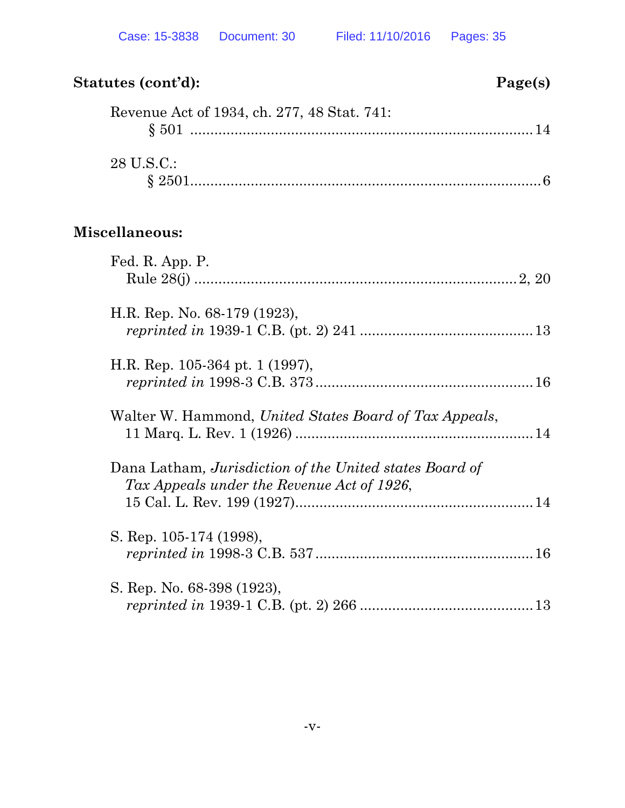# **Statutes (cont'd): Page(s)** Revenue Act of 1934, ch. 277, 48 Stat.  $741$ :

| Trevellue Act of 1994, cil. 211, 40 Stat. 141.                                                        |  |
|-------------------------------------------------------------------------------------------------------|--|
| 28 U.S.C.:                                                                                            |  |
| Miscellaneous:                                                                                        |  |
| Fed. R. App. P.                                                                                       |  |
| H.R. Rep. No. 68-179 (1923),                                                                          |  |
| H.R. Rep. 105-364 pt. 1 (1997),                                                                       |  |
| Walter W. Hammond, United States Board of Tax Appeals,                                                |  |
| Dana Latham, Jurisdiction of the United states Board of<br>Tax Appeals under the Revenue Act of 1926, |  |
| S. Rep. 105-174 (1998),                                                                               |  |
| S. Rep. No. 68-398 (1923),                                                                            |  |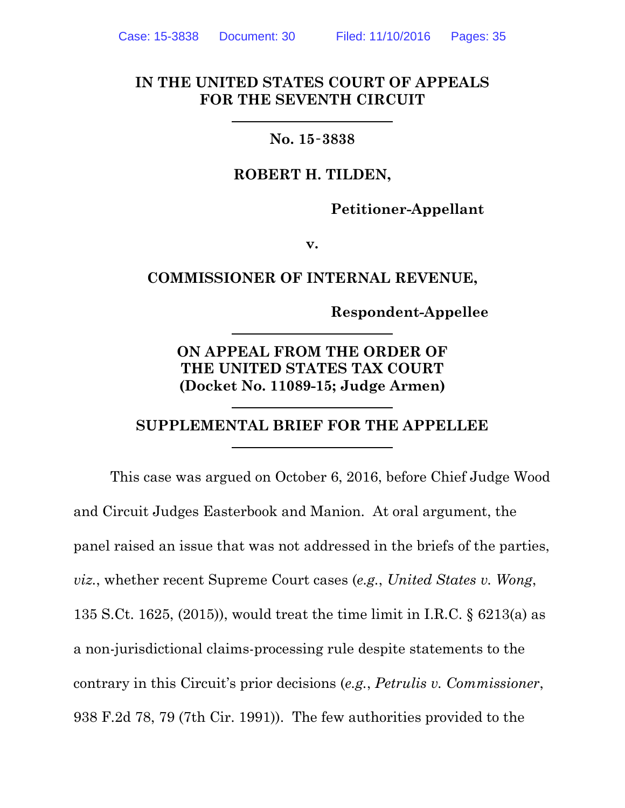#### **IN THE UNITED STATES COURT OF APPEALS FOR THE SEVENTH CIRCUIT**

#### **No. 15**‑**3838**

#### **ROBERT H. TILDEN,**

**Petitioner-Appellant**

**v.**

#### **COMMISSIONER OF INTERNAL REVENUE,**

**Respondent-Appellee**

**ON APPEAL FROM THE ORDER OF THE UNITED STATES TAX COURT (Docket No. 11089-15; Judge Armen)**

#### **SUPPLEMENTAL BRIEF FOR THE APPELLEE**

This case was argued on October 6, 2016, before Chief Judge Wood and Circuit Judges Easterbook and Manion. At oral argument, the panel raised an issue that was not addressed in the briefs of the parties, *viz.*, whether recent Supreme Court cases (*e.g.*, *United States v. Wong*, 135 S.Ct. 1625, (2015)), would treat the time limit in I.R.C. § 6213(a) as a non-jurisdictional claims-processing rule despite statements to the contrary in this Circuit's prior decisions (*e.g.*, *Petrulis v. Commissioner*, 938 F.2d 78, 79 (7th Cir. 1991)). The few authorities provided to the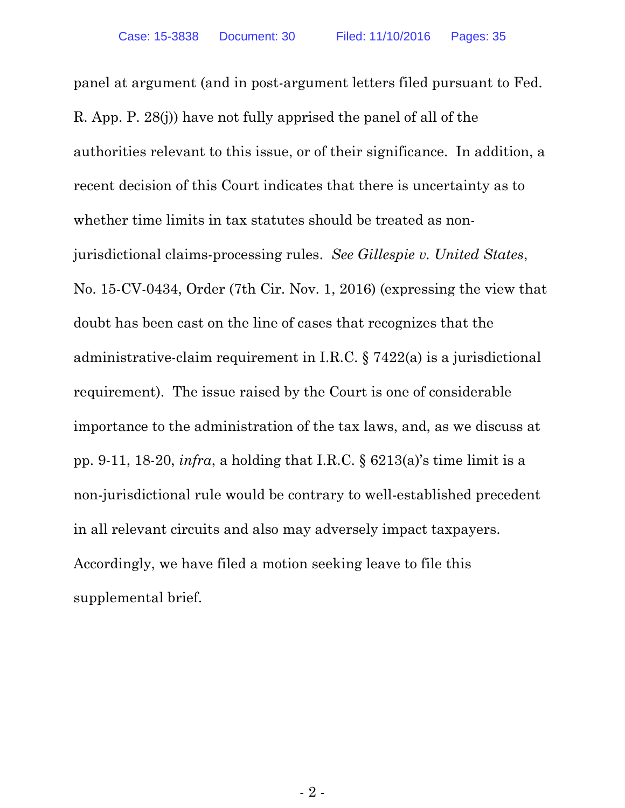panel at argument (and in post-argument letters filed pursuant to Fed. R. App. P. 28(j)) have not fully apprised the panel of all of the authorities relevant to this issue, or of their significance. In addition, a recent decision of this Court indicates that there is uncertainty as to whether time limits in tax statutes should be treated as nonjurisdictional claims-processing rules. *See Gillespie v. United States*, No. 15-CV-0434, Order (7th Cir. Nov. 1, 2016) (expressing the view that doubt has been cast on the line of cases that recognizes that the administrative-claim requirement in I.R.C. § 7422(a) is a jurisdictional requirement). The issue raised by the Court is one of considerable importance to the administration of the tax laws, and, as we discuss at pp. 9-11, 18-20, *infra*, a holding that I.R.C. § 6213(a)'s time limit is a non-jurisdictional rule would be contrary to well-established precedent in all relevant circuits and also may adversely impact taxpayers. Accordingly, we have filed a motion seeking leave to file this supplemental brief.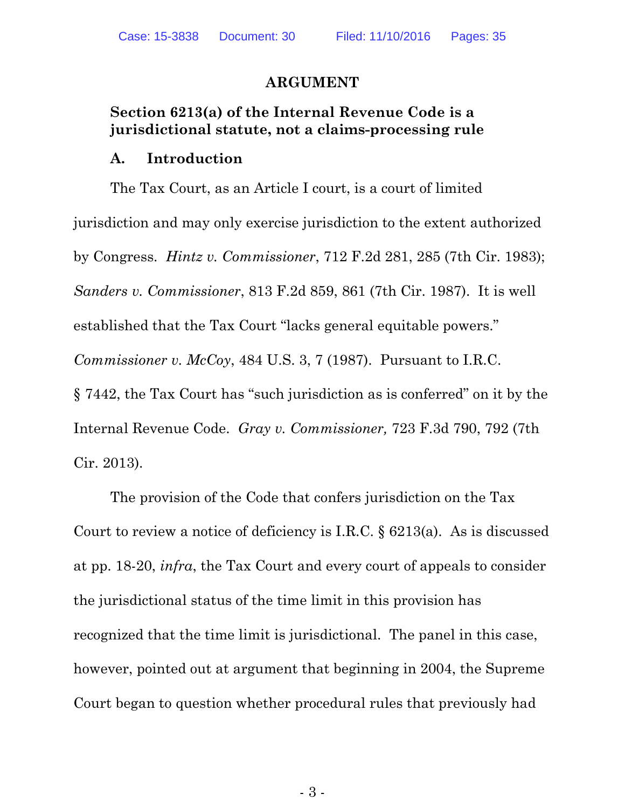#### **ARGUMENT**

#### **Section 6213(a) of the Internal Revenue Code is a jurisdictional statute, not a claims-processing rule**

#### **A. Introduction**

The Tax Court, as an Article I court, is a court of limited jurisdiction and may only exercise jurisdiction to the extent authorized by Congress. *Hintz v. Commissioner*, 712 F.2d 281, 285 (7th Cir. 1983); *Sanders v. Commissioner*, 813 F.2d 859, 861 (7th Cir. 1987). It is well established that the Tax Court "lacks general equitable powers." *Commissioner v. McCoy*, 484 U.S. 3, 7 (1987). Pursuant to I.R.C. § 7442, the Tax Court has "such jurisdiction as is conferred" on it by the Internal Revenue Code. *Gray v. Commissioner,* 723 F.3d 790, 792 (7th Cir. 2013).

The provision of the Code that confers jurisdiction on the Tax Court to review a notice of deficiency is I.R.C.  $\S$  6213(a). As is discussed at pp. 18-20, *infra*, the Tax Court and every court of appeals to consider the jurisdictional status of the time limit in this provision has recognized that the time limit is jurisdictional. The panel in this case, however, pointed out at argument that beginning in 2004, the Supreme Court began to question whether procedural rules that previously had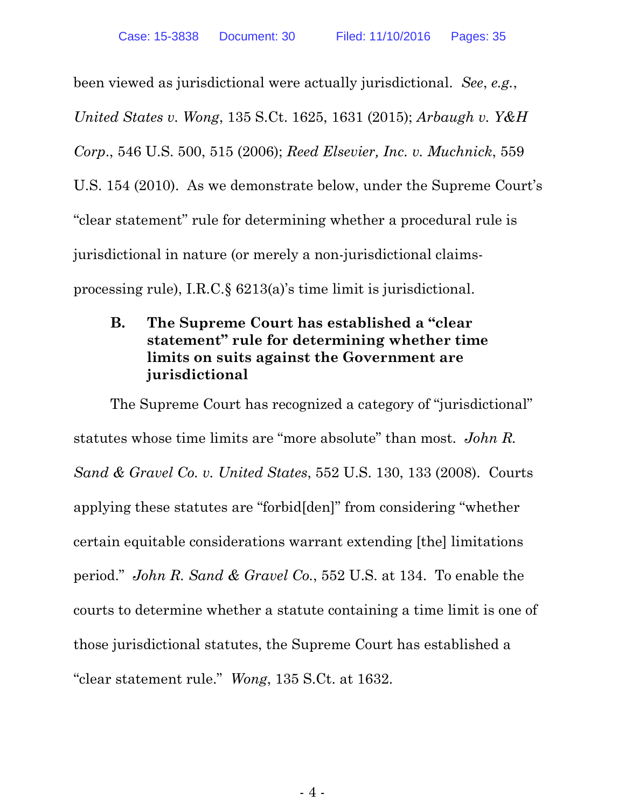been viewed as jurisdictional were actually jurisdictional. *See*, *e.g.*, *United States v. Wong*, 135 S.Ct. 1625, 1631 (2015); *Arbaugh v. Y&H Corp*., 546 U.S. 500, 515 (2006); *Reed Elsevier, Inc. v. Muchnick*, 559 U.S. 154 (2010). As we demonstrate below, under the Supreme Court's "clear statement" rule for determining whether a procedural rule is jurisdictional in nature (or merely a non-jurisdictional claimsprocessing rule), I.R.C.§ 6213(a)'s time limit is jurisdictional.

# **B. The Supreme Court has established a "clear statement" rule for determining whether time limits on suits against the Government are jurisdictional**

The Supreme Court has recognized a category of "jurisdictional" statutes whose time limits are "more absolute" than most. *John R. Sand & Gravel Co. v. United States*, 552 U.S. 130, 133 (2008). Courts applying these statutes are "forbid[den]" from considering "whether certain equitable considerations warrant extending [the] limitations period." *John R. Sand & Gravel Co.*, 552 U.S. at 134. To enable the courts to determine whether a statute containing a time limit is one of those jurisdictional statutes, the Supreme Court has established a "clear statement rule." *Wong*, 135 S.Ct. at 1632.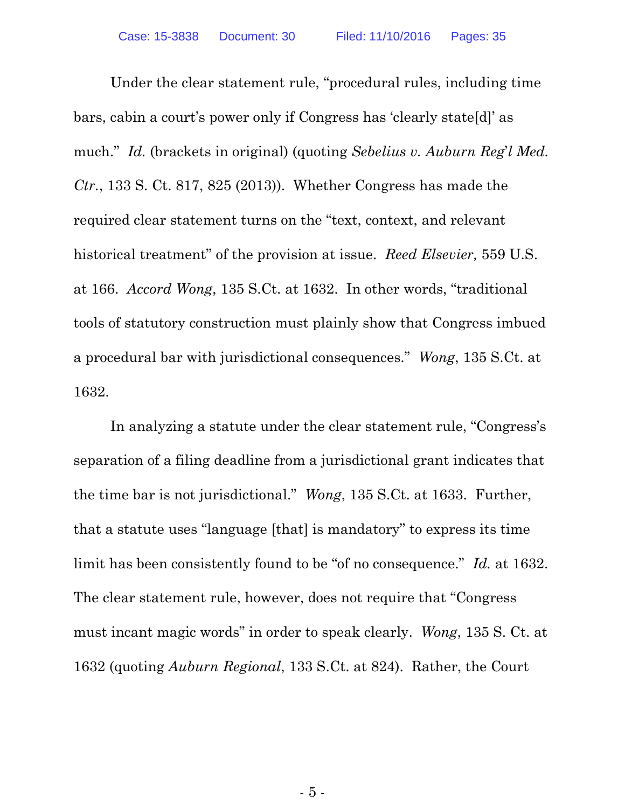Under the clear statement rule, "procedural rules, including time bars, cabin a court's power only if Congress has 'clearly state[d]' as much." *Id.* (brackets in original) (quoting *Sebelius v. Auburn Reg*'*l Med. Ctr.*, 133 S. Ct. 817, 825 (2013)). Whether Congress has made the required clear statement turns on the "text, context, and relevant historical treatment" of the provision at issue. *Reed Elsevier,* 559 U.S. at 166. *Accord Wong*, 135 S.Ct. at 1632. In other words, "traditional tools of statutory construction must plainly show that Congress imbued a procedural bar with jurisdictional consequences." *Wong*, 135 S.Ct. at 1632.

In analyzing a statute under the clear statement rule, "Congress's separation of a filing deadline from a jurisdictional grant indicates that the time bar is not jurisdictional." *Wong*, 135 S.Ct. at 1633. Further, that a statute uses "language [that] is mandatory" to express its time limit has been consistently found to be "of no consequence." *Id.* at 1632. The clear statement rule, however, does not require that "Congress must incant magic words" in order to speak clearly. *Wong*, 135 S. Ct. at 1632 (quoting *Auburn Regional*, 133 S.Ct. at 824). Rather, the Court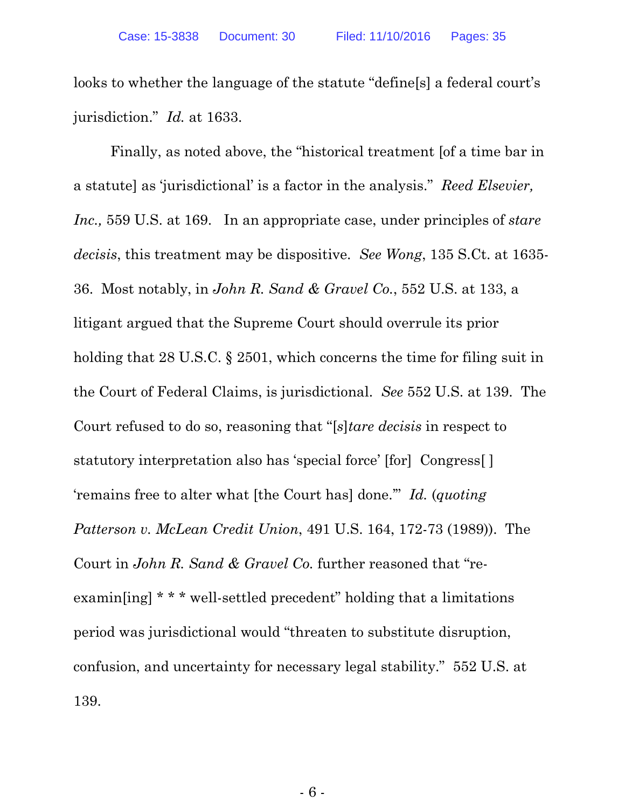looks to whether the language of the statute "define[s] a federal court's jurisdiction." *Id.* at 1633.

Finally, as noted above, the "historical treatment [of a time bar in a statute] as 'jurisdictional' is a factor in the analysis." *Reed Elsevier, Inc.,* 559 U.S. at 169. In an appropriate case, under principles of *stare decisis*, this treatment may be dispositive. *See Wong*, 135 S.Ct. at 1635- 36. Most notably, in *John R. Sand & Gravel Co.*, 552 U.S. at 133, a litigant argued that the Supreme Court should overrule its prior holding that 28 U.S.C. § 2501, which concerns the time for filing suit in the Court of Federal Claims, is jurisdictional. *See* 552 U.S. at 139. The Court refused to do so, reasoning that "[*s*]*tare decisis* in respect to statutory interpretation also has 'special force' [for] Congress[ ] 'remains free to alter what [the Court has] done.'" *Id.* (*quoting Patterson v. McLean Credit Union*, 491 U.S. 164, 172-73 (1989)). The Court in *John R. Sand & Gravel Co.* further reasoned that "reexamin[ing] \* \* \* well-settled precedent" holding that a limitations period was jurisdictional would "threaten to substitute disruption, confusion, and uncertainty for necessary legal stability." 552 U.S. at 139.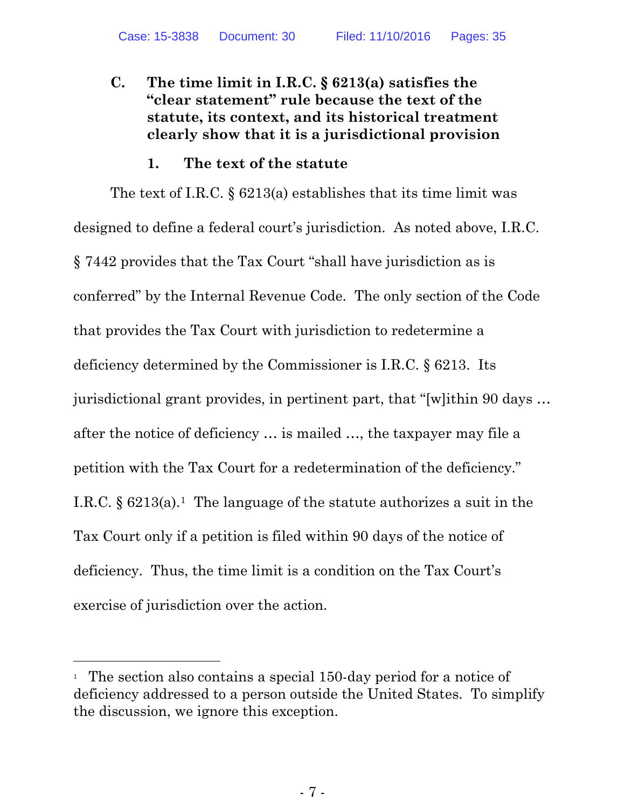# **C. The time limit in I.R.C. § 6213(a) satisfies the "clear statement" rule because the text of the statute, its context, and its historical treatment clearly show that it is a jurisdictional provision**

#### **1. The text of the statute**

The text of I.R.C. § 6213(a) establishes that its time limit was designed to define a federal court's jurisdiction. As noted above, I.R.C. § 7442 provides that the Tax Court "shall have jurisdiction as is conferred" by the Internal Revenue Code. The only section of the Code that provides the Tax Court with jurisdiction to redetermine a deficiency determined by the Commissioner is I.R.C. § 6213. Its jurisdictional grant provides, in pertinent part, that "[w]ithin 90 days … after the notice of deficiency … is mailed …, the taxpayer may file a petition with the Tax Court for a redetermination of the deficiency." I.R.C.  $\S 6213(a)$ <sup>1</sup>. The language of the statute authorizes a suit in the Tax Court only if a petition is filed within 90 days of the notice of deficiency. Thus, the time limit is a condition on the Tax Court's exercise of jurisdiction over the action.

<sup>&</sup>lt;sup>1</sup> The section also contains a special 150-day period for a notice of deficiency addressed to a person outside the United States. To simplify the discussion, we ignore this exception.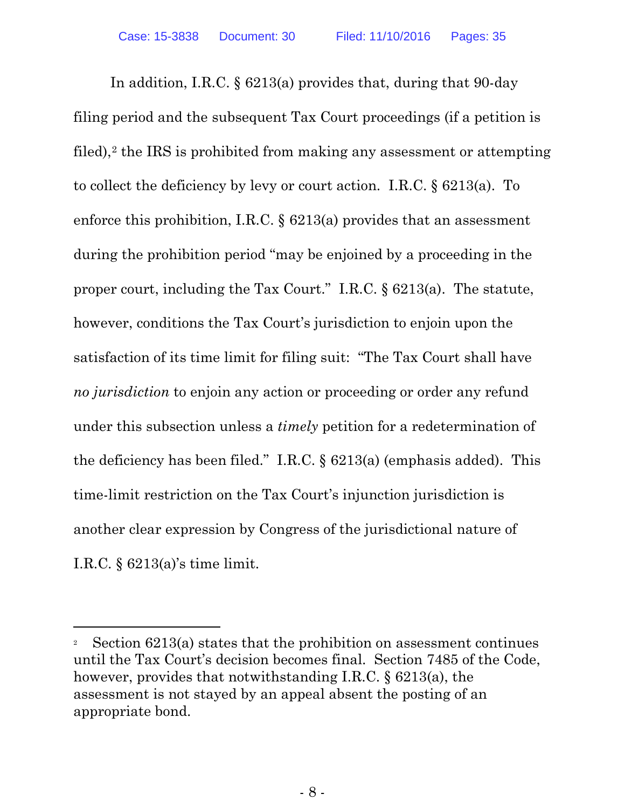In addition, I.R.C. § 6213(a) provides that, during that 90-day filing period and the subsequent Tax Court proceedings (if a petition is filed),<sup>2</sup> the IRS is prohibited from making any assessment or attempting to collect the deficiency by levy or court action. I.R.C. § 6213(a). To enforce this prohibition, I.R.C. § 6213(a) provides that an assessment during the prohibition period "may be enjoined by a proceeding in the proper court, including the Tax Court." I.R.C. § 6213(a). The statute, however, conditions the Tax Court's jurisdiction to enjoin upon the satisfaction of its time limit for filing suit: "The Tax Court shall have *no jurisdiction* to enjoin any action or proceeding or order any refund under this subsection unless a *timely* petition for a redetermination of the deficiency has been filed." I.R.C. § 6213(a) (emphasis added). This time-limit restriction on the Tax Court's injunction jurisdiction is another clear expression by Congress of the jurisdictional nature of I.R.C. § 6213(a)'s time limit.

<sup>&</sup>lt;sup>2</sup> Section  $6213(a)$  states that the prohibition on assessment continues until the Tax Court's decision becomes final. Section 7485 of the Code, however, provides that notwithstanding I.R.C. § 6213(a), the assessment is not stayed by an appeal absent the posting of an appropriate bond.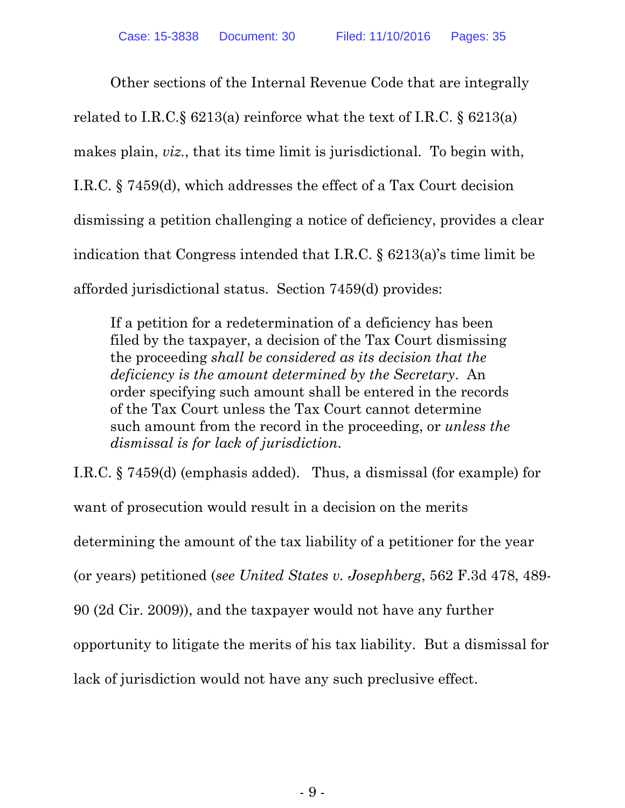Other sections of the Internal Revenue Code that are integrally related to I.R.C.§ 6213(a) reinforce what the text of I.R.C. § 6213(a) makes plain, *viz.*, that its time limit is jurisdictional. To begin with, I.R.C. § 7459(d), which addresses the effect of a Tax Court decision dismissing a petition challenging a notice of deficiency, provides a clear indication that Congress intended that I.R.C. § 6213(a)'s time limit be afforded jurisdictional status. Section 7459(d) provides:

If a petition for a redetermination of a deficiency has been filed by the taxpayer, a decision of the Tax Court dismissing the proceeding *shall be considered as its decision that the deficiency is the amount determined by the Secretary*. An order specifying such amount shall be entered in the records of the Tax Court unless the Tax Court cannot determine such amount from the record in the proceeding, or *unless the dismissal is for lack of jurisdiction*.

I.R.C. § 7459(d) (emphasis added). Thus, a dismissal (for example) for want of prosecution would result in a decision on the merits determining the amount of the tax liability of a petitioner for the year (or years) petitioned (*see United States v. Josephberg*, 562 F.3d 478, 489- 90 (2d Cir. 2009)), and the taxpayer would not have any further opportunity to litigate the merits of his tax liability. But a dismissal for lack of jurisdiction would not have any such preclusive effect.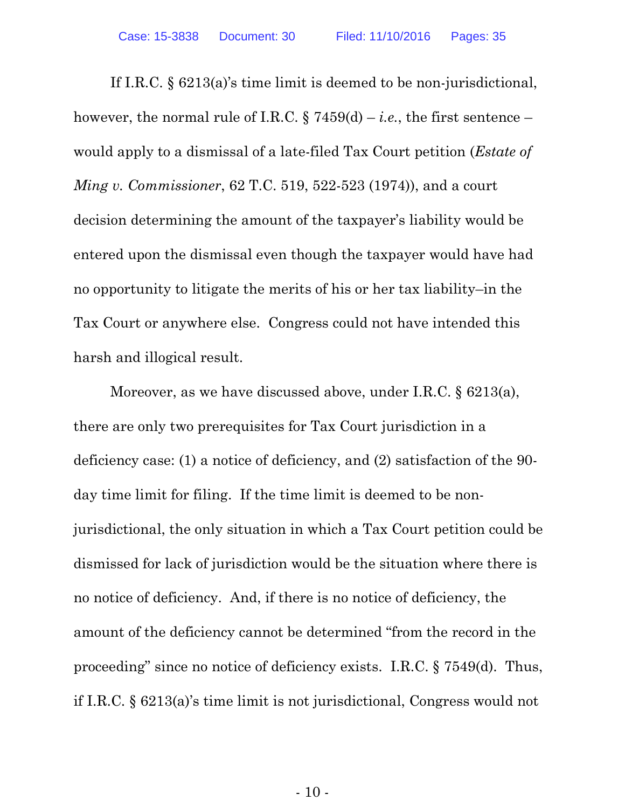If I.R.C. § 6213(a)'s time limit is deemed to be non-jurisdictional, however, the normal rule of I.R.C.  $\S 7459(d) - i.e.,$  the first sentence – would apply to a dismissal of a late-filed Tax Court petition (*Estate of Ming v. Commissioner*, 62 T.C. 519, 522-523 (1974)), and a court decision determining the amount of the taxpayer's liability would be entered upon the dismissal even though the taxpayer would have had no opportunity to litigate the merits of his or her tax liability–in the Tax Court or anywhere else. Congress could not have intended this harsh and illogical result.

Moreover, as we have discussed above, under I.R.C. § 6213(a), there are only two prerequisites for Tax Court jurisdiction in a deficiency case: (1) a notice of deficiency, and (2) satisfaction of the 90 day time limit for filing. If the time limit is deemed to be nonjurisdictional, the only situation in which a Tax Court petition could be dismissed for lack of jurisdiction would be the situation where there is no notice of deficiency. And, if there is no notice of deficiency, the amount of the deficiency cannot be determined "from the record in the proceeding" since no notice of deficiency exists. I.R.C. § 7549(d). Thus, if I.R.C. § 6213(a)'s time limit is not jurisdictional, Congress would not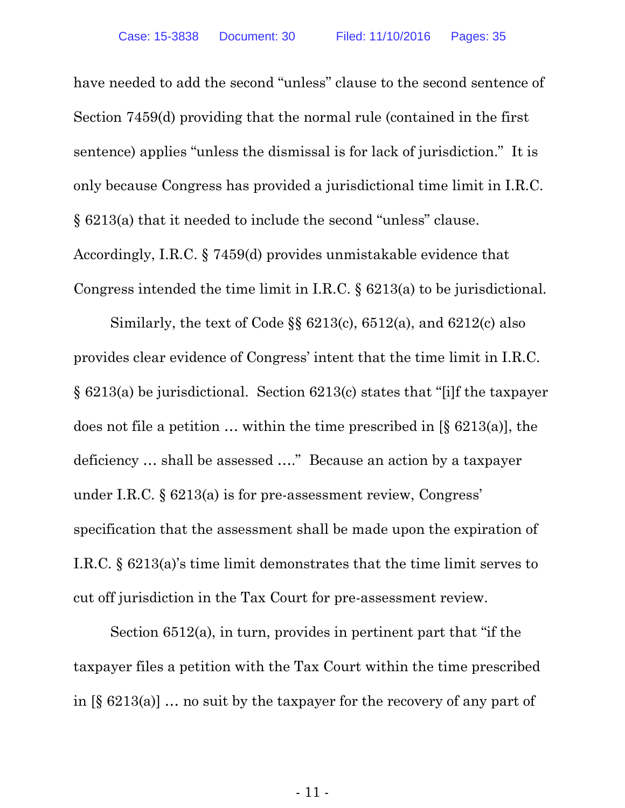have needed to add the second "unless" clause to the second sentence of Section 7459(d) providing that the normal rule (contained in the first sentence) applies "unless the dismissal is for lack of jurisdiction." It is only because Congress has provided a jurisdictional time limit in I.R.C. § 6213(a) that it needed to include the second "unless" clause. Accordingly, I.R.C. § 7459(d) provides unmistakable evidence that Congress intended the time limit in I.R.C. § 6213(a) to be jurisdictional.

Similarly, the text of Code §§ 6213(c), 6512(a), and 6212(c) also provides clear evidence of Congress' intent that the time limit in I.R.C. § 6213(a) be jurisdictional. Section 6213(c) states that "[i]f the taxpayer does not file a petition  $\ldots$  within the time prescribed in [§ 6213(a)], the deficiency … shall be assessed …." Because an action by a taxpayer under I.R.C. § 6213(a) is for pre-assessment review, Congress' specification that the assessment shall be made upon the expiration of I.R.C. § 6213(a)'s time limit demonstrates that the time limit serves to cut off jurisdiction in the Tax Court for pre-assessment review.

Section 6512(a), in turn, provides in pertinent part that "if the taxpayer files a petition with the Tax Court within the time prescribed in  $[\S 6213(a)]$  ... no suit by the taxpayer for the recovery of any part of

- 11 -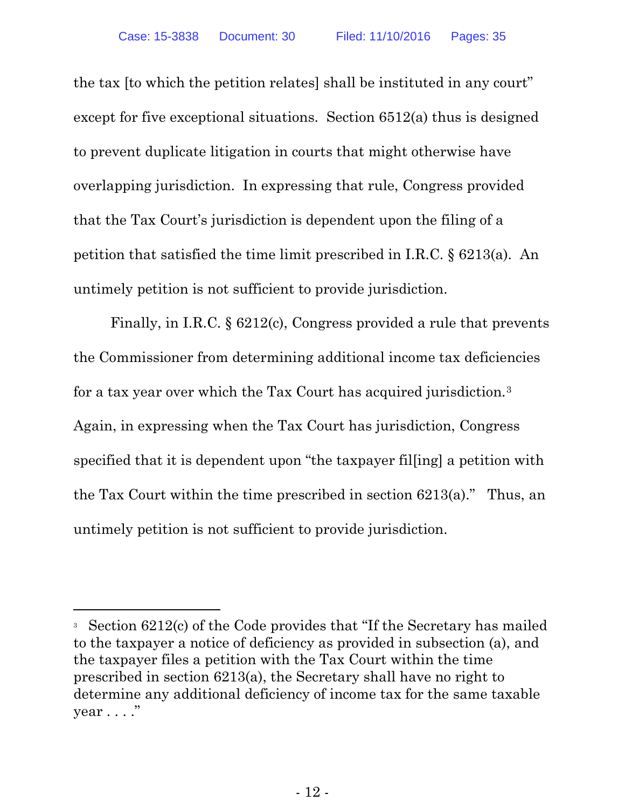the tax [to which the petition relates] shall be instituted in any court" except for five exceptional situations. Section 6512(a) thus is designed to prevent duplicate litigation in courts that might otherwise have overlapping jurisdiction. In expressing that rule, Congress provided that the Tax Court's jurisdiction is dependent upon the filing of a petition that satisfied the time limit prescribed in I.R.C. § 6213(a). An untimely petition is not sufficient to provide jurisdiction.

Finally, in I.R.C. § 6212(c), Congress provided a rule that prevents the Commissioner from determining additional income tax deficiencies for a tax year over which the Tax Court has acquired jurisdiction.3 Again, in expressing when the Tax Court has jurisdiction, Congress specified that it is dependent upon "the taxpayer fil[ing] a petition with the Tax Court within the time prescribed in section 6213(a)." Thus, an untimely petition is not sufficient to provide jurisdiction.

<sup>3</sup> Section 6212(c) of the Code provides that "If the Secretary has mailed to the taxpayer a notice of deficiency as provided in subsection (a), and the taxpayer files a petition with the Tax Court within the time prescribed in section 6213(a), the Secretary shall have no right to determine any additional deficiency of income tax for the same taxable  $year \dots$ ."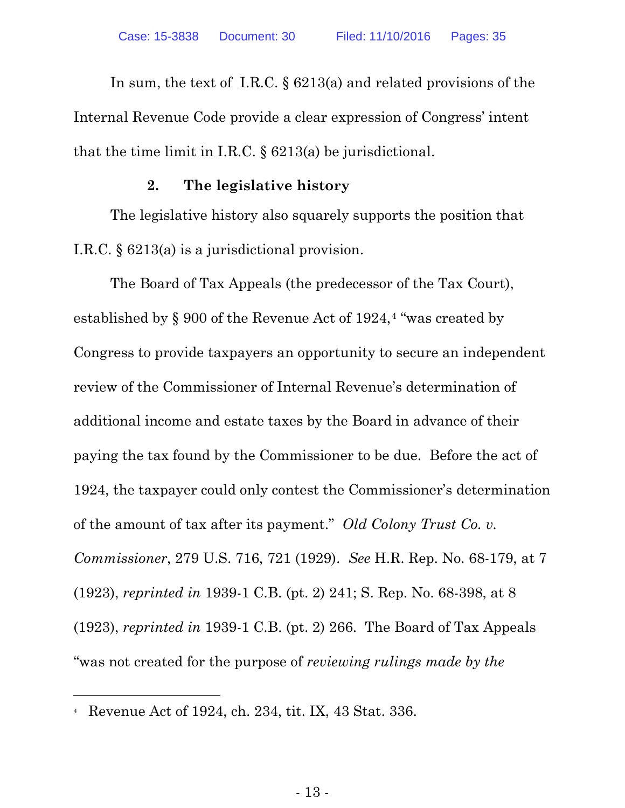In sum, the text of I.R.C. § 6213(a) and related provisions of the Internal Revenue Code provide a clear expression of Congress' intent that the time limit in I.R.C. § 6213(a) be jurisdictional.

#### **2. The legislative history**

The legislative history also squarely supports the position that I.R.C. § 6213(a) is a jurisdictional provision.

The Board of Tax Appeals (the predecessor of the Tax Court), established by § 900 of the Revenue Act of 1924,<sup>4</sup> "was created by Congress to provide taxpayers an opportunity to secure an independent review of the Commissioner of Internal Revenue's determination of additional income and estate taxes by the Board in advance of their paying the tax found by the Commissioner to be due. Before the act of 1924, the taxpayer could only contest the Commissioner's determination of the amount of tax after its payment." *Old Colony Trust Co. v. Commissioner*, 279 U.S. 716, 721 (1929). *See* H.R. Rep. No. 68-179, at 7 (1923), *reprinted in* 1939-1 C.B. (pt. 2) 241; S. Rep. No. 68-398, at 8 (1923), *reprinted in* 1939-1 C.B. (pt. 2) 266. The Board of Tax Appeals "was not created for the purpose of *reviewing rulings made by the* 

l

<sup>4</sup> Revenue Act of 1924, ch. 234, tit. IX, 43 Stat. 336.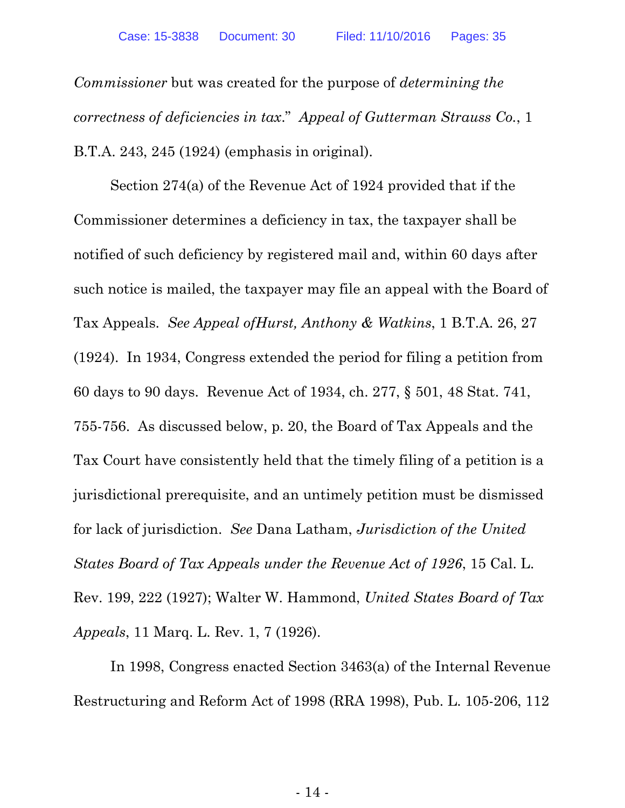*Commissioner* but was created for the purpose of *determining the correctness of deficiencies in tax*." *Appeal of Gutterman Strauss Co.*, 1 B.T.A. 243, 245 (1924) (emphasis in original).

Section 274(a) of the Revenue Act of 1924 provided that if the Commissioner determines a deficiency in tax, the taxpayer shall be notified of such deficiency by registered mail and, within 60 days after such notice is mailed, the taxpayer may file an appeal with the Board of Tax Appeals. *See Appeal ofHurst, Anthony & Watkins*, 1 B.T.A. 26, 27 (1924). In 1934, Congress extended the period for filing a petition from 60 days to 90 days. Revenue Act of 1934, ch. 277, § 501, 48 Stat. 741, 755-756. As discussed below, p. 20, the Board of Tax Appeals and the Tax Court have consistently held that the timely filing of a petition is a jurisdictional prerequisite, and an untimely petition must be dismissed for lack of jurisdiction. *See* Dana Latham, *Jurisdiction of the United States Board of Tax Appeals under the Revenue Act of 1926*, 15 Cal. L. Rev. 199, 222 (1927); Walter W. Hammond, *United States Board of Tax Appeals*, 11 Marq. L. Rev. 1, 7 (1926).

In 1998, Congress enacted Section 3463(a) of the Internal Revenue Restructuring and Reform Act of 1998 (RRA 1998), Pub. L. 105-206, 112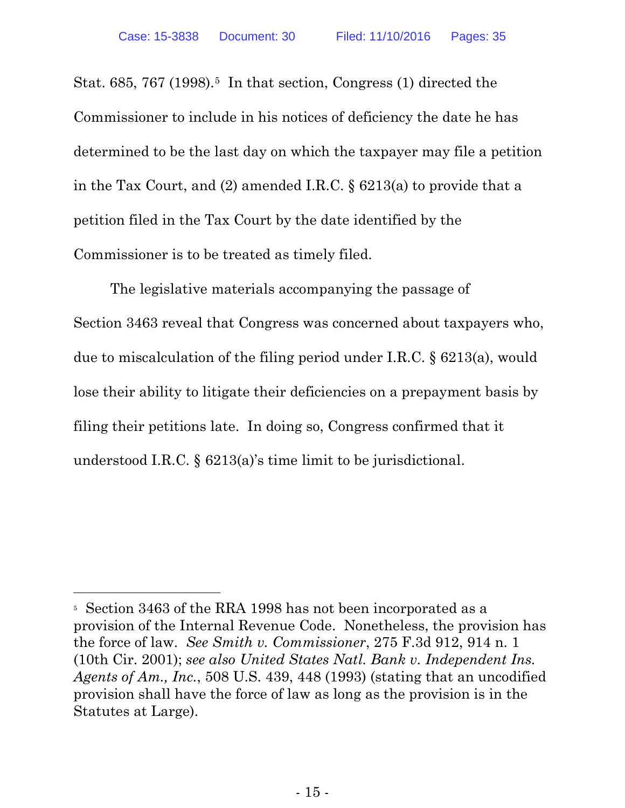l

Stat. 685, 767 (1998).<sup>5</sup> In that section, Congress (1) directed the Commissioner to include in his notices of deficiency the date he has determined to be the last day on which the taxpayer may file a petition in the Tax Court, and (2) amended I.R.C. § 6213(a) to provide that a petition filed in the Tax Court by the date identified by the Commissioner is to be treated as timely filed.

The legislative materials accompanying the passage of Section 3463 reveal that Congress was concerned about taxpayers who, due to miscalculation of the filing period under I.R.C. § 6213(a), would lose their ability to litigate their deficiencies on a prepayment basis by filing their petitions late. In doing so, Congress confirmed that it understood I.R.C. § 6213(a)'s time limit to be jurisdictional.

<sup>5</sup> Section 3463 of the RRA 1998 has not been incorporated as a provision of the Internal Revenue Code. Nonetheless, the provision has the force of law. *See Smith v. Commissioner*, 275 F.3d 912, 914 n. 1 (10th Cir. 2001); *see also United States Natl. Bank v. Independent Ins. Agents of Am., Inc.*, 508 U.S. 439, 448 (1993) (stating that an uncodified provision shall have the force of law as long as the provision is in the Statutes at Large).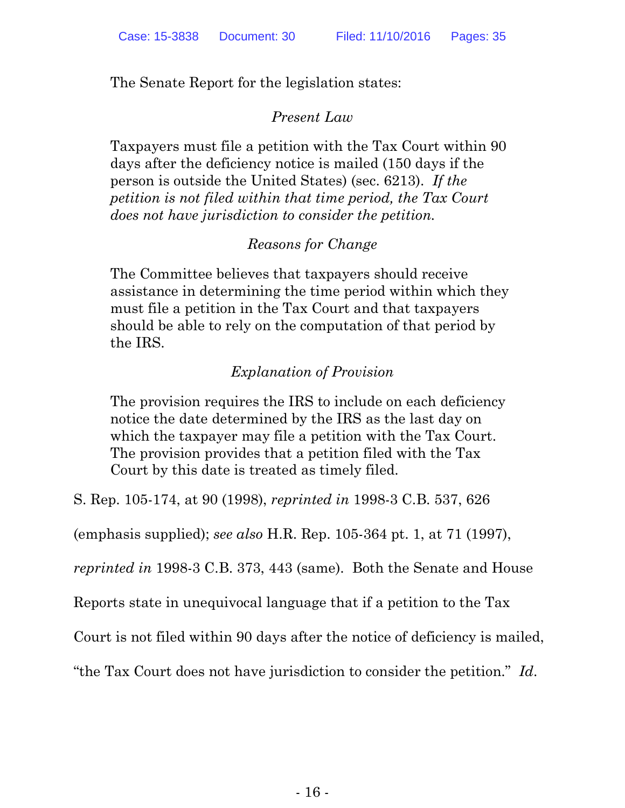The Senate Report for the legislation states:

# *Present Law*

Taxpayers must file a petition with the Tax Court within 90 days after the deficiency notice is mailed (150 days if the person is outside the United States) (sec. 6213). *If the petition is not filed within that time period, the Tax Court does not have jurisdiction to consider the petition.*

# *Reasons for Change*

The Committee believes that taxpayers should receive assistance in determining the time period within which they must file a petition in the Tax Court and that taxpayers should be able to rely on the computation of that period by the IRS.

# *Explanation of Provision*

The provision requires the IRS to include on each deficiency notice the date determined by the IRS as the last day on which the taxpayer may file a petition with the Tax Court. The provision provides that a petition filed with the Tax Court by this date is treated as timely filed.

S. Rep. 105-174, at 90 (1998), *reprinted in* 1998-3 C.B. 537, 626

(emphasis supplied); *see also* H.R. Rep. 105-364 pt. 1, at 71 (1997),

*reprinted in* 1998-3 C.B. 373, 443 (same). Both the Senate and House

Reports state in unequivocal language that if a petition to the Tax

Court is not filed within 90 days after the notice of deficiency is mailed,

"the Tax Court does not have jurisdiction to consider the petition." *Id*.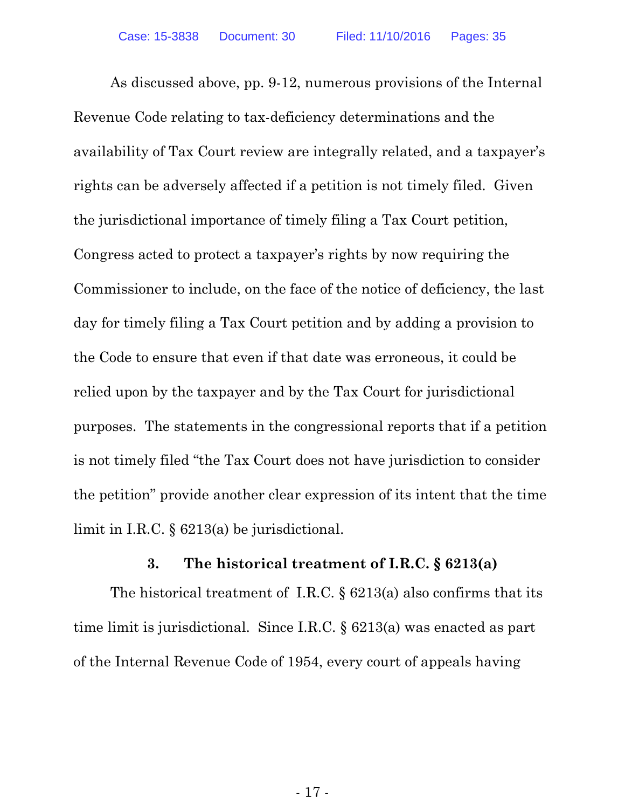As discussed above, pp. 9-12, numerous provisions of the Internal Revenue Code relating to tax-deficiency determinations and the availability of Tax Court review are integrally related, and a taxpayer's rights can be adversely affected if a petition is not timely filed. Given the jurisdictional importance of timely filing a Tax Court petition, Congress acted to protect a taxpayer's rights by now requiring the Commissioner to include, on the face of the notice of deficiency, the last day for timely filing a Tax Court petition and by adding a provision to the Code to ensure that even if that date was erroneous, it could be relied upon by the taxpayer and by the Tax Court for jurisdictional purposes. The statements in the congressional reports that if a petition is not timely filed "the Tax Court does not have jurisdiction to consider the petition" provide another clear expression of its intent that the time limit in I.R.C. § 6213(a) be jurisdictional.

#### **3. The historical treatment of I.R.C. § 6213(a)**

The historical treatment of I.R.C.  $\S$  6213(a) also confirms that its time limit is jurisdictional. Since I.R.C. § 6213(a) was enacted as part of the Internal Revenue Code of 1954, every court of appeals having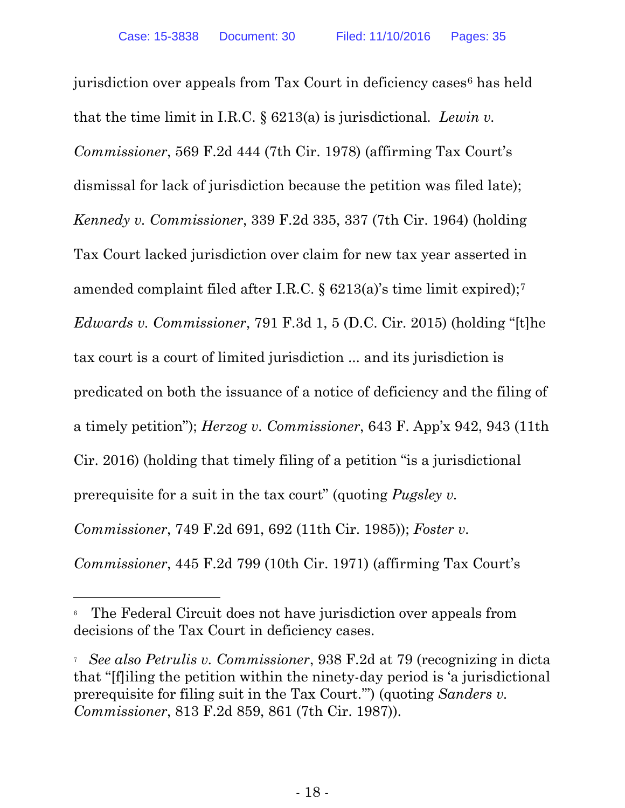jurisdiction over appeals from Tax Court in deficiency cases<sup>6</sup> has held that the time limit in I.R.C. § 6213(a) is jurisdictional. *Lewin v. Commissioner*, 569 F.2d 444 (7th Cir. 1978) (affirming Tax Court's dismissal for lack of jurisdiction because the petition was filed late); *Kennedy v. Commissioner*, 339 F.2d 335, 337 (7th Cir. 1964) (holding Tax Court lacked jurisdiction over claim for new tax year asserted in amended complaint filed after I.R.C. § 6213(a)'s time limit expired);7 *Edwards v. Commissioner*, 791 F.3d 1, 5 (D.C. Cir. 2015) (holding "[t]he tax court is a court of limited jurisdiction ... and its jurisdiction is predicated on both the issuance of a notice of deficiency and the filing of a timely petition"); *Herzog v. Commissioner*, 643 F. App'x 942, 943 (11th Cir. 2016) (holding that timely filing of a petition "is a jurisdictional prerequisite for a suit in the tax court" (quoting *Pugsley v. Commissioner*, 749 F.2d 691, 692 (11th Cir. 1985)); *Foster v. Commissioner*, 445 F.2d 799 (10th Cir. 1971) (affirming Tax Court's

 6 The Federal Circuit does not have jurisdiction over appeals from decisions of the Tax Court in deficiency cases.

<sup>7</sup> *See also Petrulis v. Commissioner*, 938 F.2d at 79 (recognizing in dicta that "[f]iling the petition within the ninety-day period is 'a jurisdictional prerequisite for filing suit in the Tax Court.'") (quoting *Sanders v. Commissioner*, 813 F.2d 859, 861 (7th Cir. 1987)).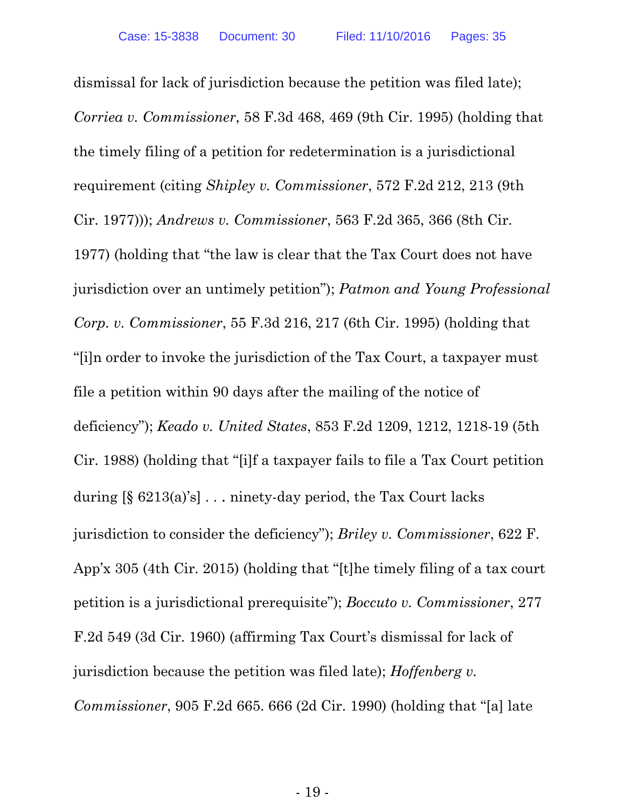dismissal for lack of jurisdiction because the petition was filed late); *Corriea v. Commissioner*, 58 F.3d 468, 469 (9th Cir. 1995) (holding that the timely filing of a petition for redetermination is a jurisdictional requirement (citing *Shipley v. Commissioner*, 572 F.2d 212, 213 (9th Cir. 1977))); *Andrews v. Commissioner*, 563 F.2d 365, 366 (8th Cir. 1977) (holding that "the law is clear that the Tax Court does not have jurisdiction over an untimely petition"); *Patmon and Young Professional Corp. v. Commissioner*, 55 F.3d 216, 217 (6th Cir. 1995) (holding that "[i]n order to invoke the jurisdiction of the Tax Court, a taxpayer must file a petition within 90 days after the mailing of the notice of deficiency"); *Keado v. United States*, 853 F.2d 1209, 1212, 1218-19 (5th Cir. 1988) (holding that "[i]f a taxpayer fails to file a Tax Court petition during [§ 6213(a)'s] . . . ninety-day period, the Tax Court lacks jurisdiction to consider the deficiency"); *Briley v. Commissioner*, 622 F. App'x 305 (4th Cir. 2015) (holding that "[t]he timely filing of a tax court petition is a jurisdictional prerequisite"); *Boccuto v. Commissioner*, 277 F.2d 549 (3d Cir. 1960) (affirming Tax Court's dismissal for lack of jurisdiction because the petition was filed late); *Hoffenberg v. Commissioner*, 905 F.2d 665. 666 (2d Cir. 1990) (holding that "[a] late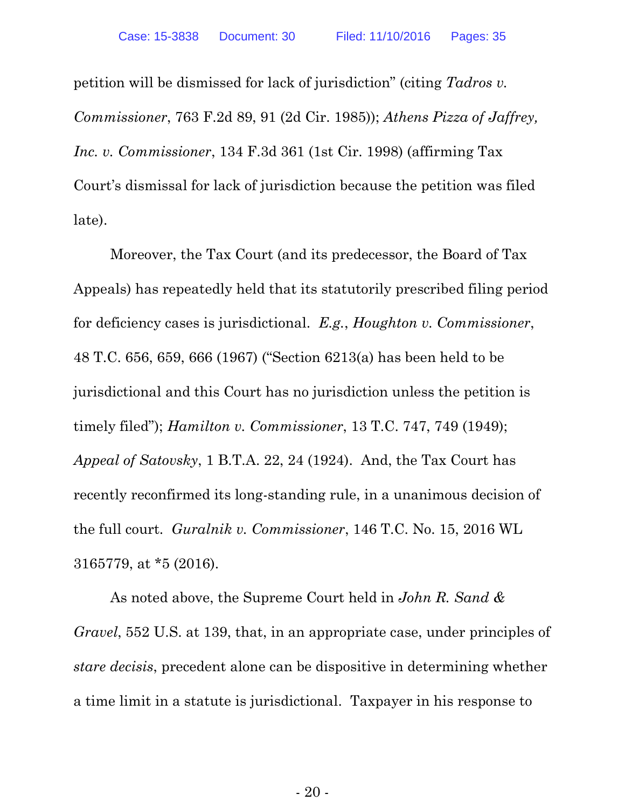petition will be dismissed for lack of jurisdiction" (citing *Tadros v. Commissioner*, 763 F.2d 89, 91 (2d Cir. 1985)); *Athens Pizza of Jaffrey, Inc. v. Commissioner*, 134 F.3d 361 (1st Cir. 1998) (affirming Tax Court's dismissal for lack of jurisdiction because the petition was filed late).

Moreover, the Tax Court (and its predecessor, the Board of Tax Appeals) has repeatedly held that its statutorily prescribed filing period for deficiency cases is jurisdictional. *E.g.*, *Houghton v. Commissioner*, 48 T.C. 656, 659, 666 (1967) ("Section 6213(a) has been held to be jurisdictional and this Court has no jurisdiction unless the petition is timely filed"); *Hamilton v. Commissioner*, 13 T.C. 747, 749 (1949); *Appeal of Satovsky*, 1 B.T.A. 22, 24 (1924). And, the Tax Court has recently reconfirmed its long-standing rule, in a unanimous decision of the full court. *Guralnik v. Commissioner*, 146 T.C. No. 15, 2016 WL 3165779, at \*5 (2016).

As noted above, the Supreme Court held in *John R. Sand & Gravel*, 552 U.S. at 139, that, in an appropriate case, under principles of *stare decisis*, precedent alone can be dispositive in determining whether a time limit in a statute is jurisdictional. Taxpayer in his response to

- 20 -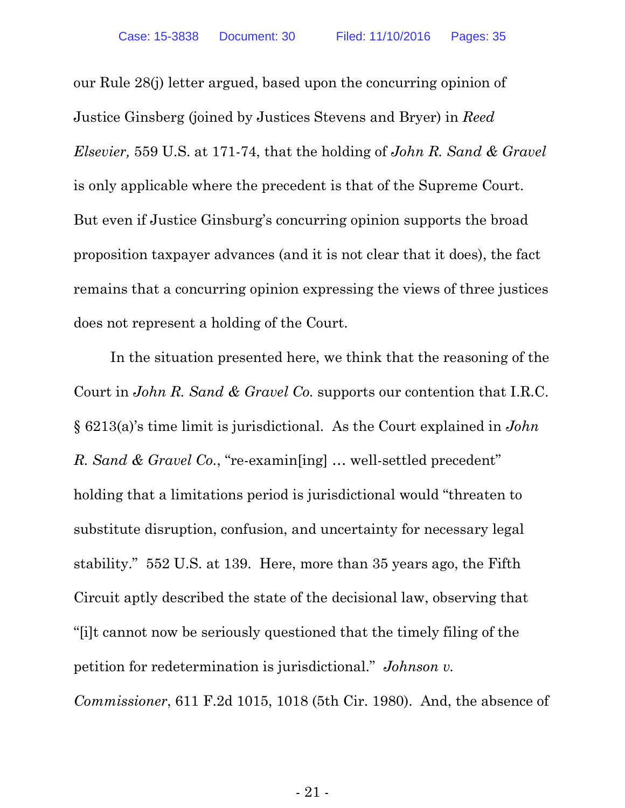our Rule 28(j) letter argued, based upon the concurring opinion of Justice Ginsberg (joined by Justices Stevens and Bryer) in *Reed Elsevier,* 559 U.S. at 171-74, that the holding of *John R. Sand & Gravel* is only applicable where the precedent is that of the Supreme Court. But even if Justice Ginsburg's concurring opinion supports the broad proposition taxpayer advances (and it is not clear that it does), the fact remains that a concurring opinion expressing the views of three justices does not represent a holding of the Court.

In the situation presented here, we think that the reasoning of the Court in *John R. Sand & Gravel Co.* supports our contention that I.R.C. § 6213(a)'s time limit is jurisdictional. As the Court explained in *John R. Sand & Gravel Co.*, "re-examin[ing] … well-settled precedent" holding that a limitations period is jurisdictional would "threaten to substitute disruption, confusion, and uncertainty for necessary legal stability." 552 U.S. at 139. Here, more than 35 years ago, the Fifth Circuit aptly described the state of the decisional law, observing that "[i]t cannot now be seriously questioned that the timely filing of the petition for redetermination is jurisdictional." *Johnson v. Commissioner*, 611 F.2d 1015, 1018 (5th Cir. 1980). And, the absence of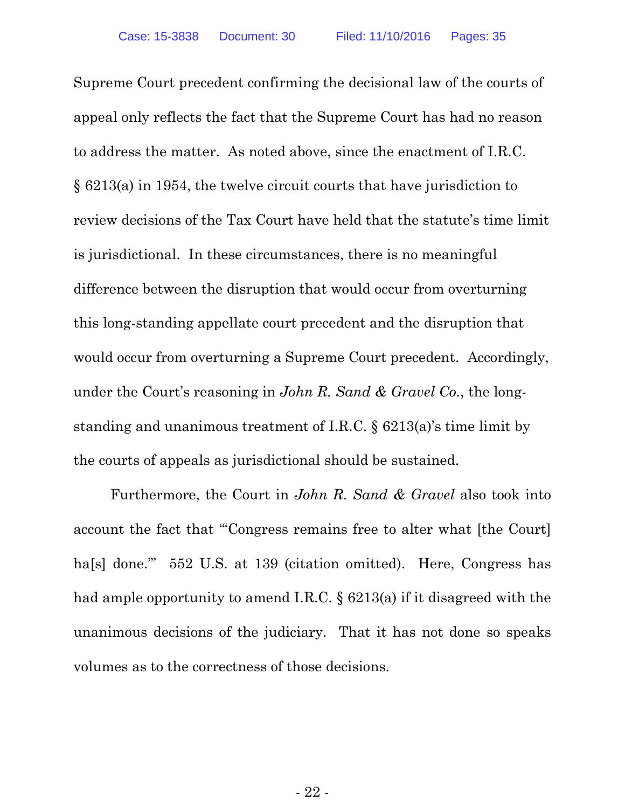Supreme Court precedent confirming the decisional law of the courts of appeal only reflects the fact that the Supreme Court has had no reason to address the matter. As noted above, since the enactment of I.R.C. § 6213(a) in 1954, the twelve circuit courts that have jurisdiction to review decisions of the Tax Court have held that the statute's time limit is jurisdictional. In these circumstances, there is no meaningful difference between the disruption that would occur from overturning this long-standing appellate court precedent and the disruption that would occur from overturning a Supreme Court precedent. Accordingly, under the Court's reasoning in *John R. Sand & Gravel Co.*, the longstanding and unanimous treatment of I.R.C. § 6213(a)'s time limit by the courts of appeals as jurisdictional should be sustained.

Furthermore, the Court in *John R. Sand & Gravel* also took into account the fact that "'Congress remains free to alter what [the Court] ha<sup>[s]</sup> done." 552 U.S. at 139 (citation omitted). Here, Congress has had ample opportunity to amend I.R.C. § 6213(a) if it disagreed with the unanimous decisions of the judiciary. That it has not done so speaks volumes as to the correctness of those decisions.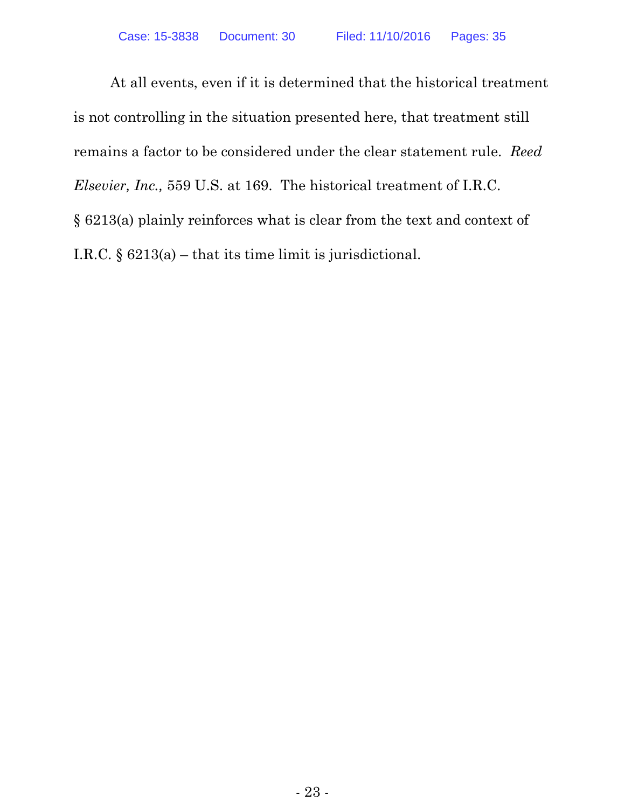At all events, even if it is determined that the historical treatment is not controlling in the situation presented here, that treatment still remains a factor to be considered under the clear statement rule. *Reed Elsevier, Inc.,* 559 U.S. at 169. The historical treatment of I.R.C. § 6213(a) plainly reinforces what is clear from the text and context of I.R.C. § 6213(a) – that its time limit is jurisdictional.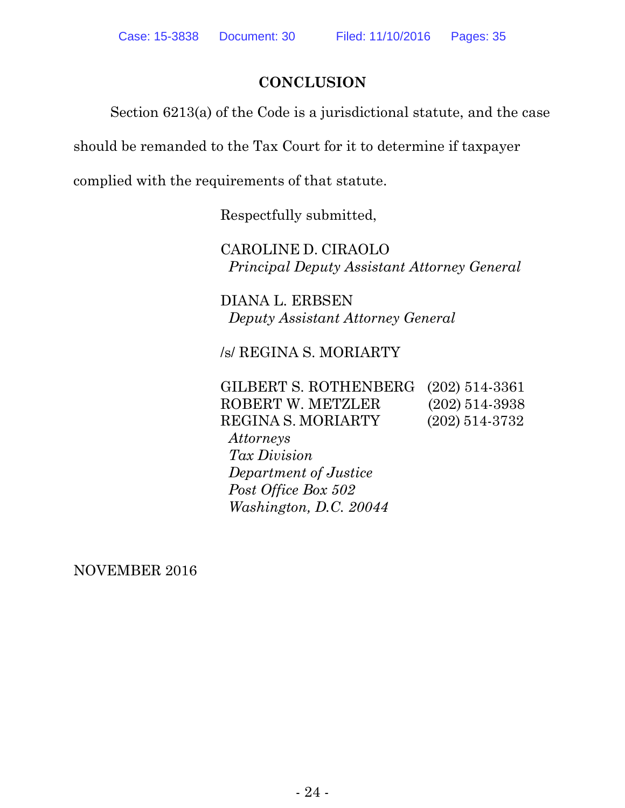# **CONCLUSION**

Section 6213(a) of the Code is a jurisdictional statute, and the case

should be remanded to the Tax Court for it to determine if taxpayer

complied with the requirements of that statute.

Respectfully submitted,

CAROLINE D. CIRAOLO *Principal Deputy Assistant Attorney General*

DIANA L. ERBSEN *Deputy Assistant Attorney General*

/s/ REGINA S. MORIARTY

GILBERT S. ROTHENBERG (202) 514-3361 ROBERT W. METZLER (202) 514-3938 REGINA S. MORIARTY (202) 514-3732 *Attorneys Tax Division*

 *Department of Justice Post Office Box 502 Washington, D.C. 20044*

NOVEMBER 2016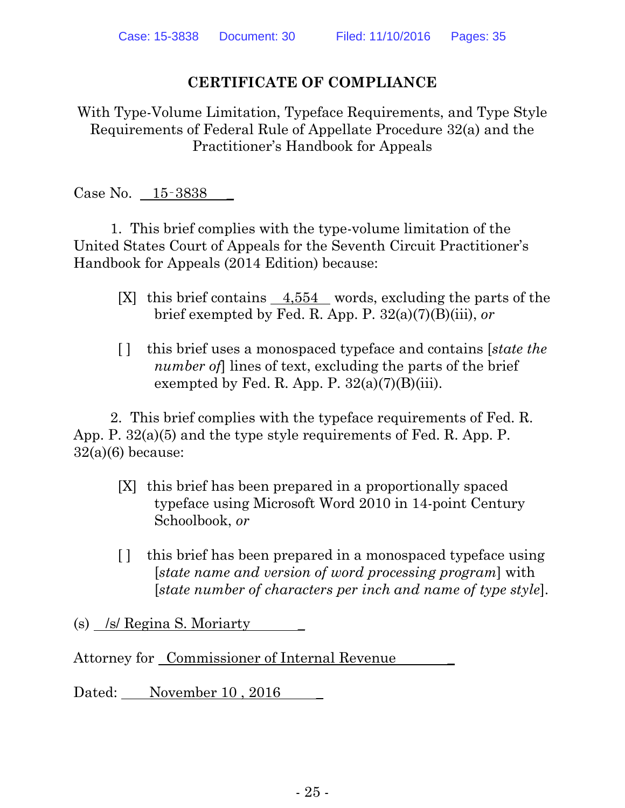## **CERTIFICATE OF COMPLIANCE**

With Type-Volume Limitation, Typeface Requirements, and Type Style Requirements of Federal Rule of Appellate Procedure 32(a) and the Practitioner's Handbook for Appeals

Case No. 15–3838

1. This brief complies with the type-volume limitation of the United States Court of Appeals for the Seventh Circuit Practitioner's Handbook for Appeals (2014 Edition) because:

- [X] this brief contains 4,554 words, excluding the parts of the brief exempted by Fed. R. App. P. 32(a)(7)(B)(iii), *or*
- [ ] this brief uses a monospaced typeface and contains [*state the number of*] lines of text, excluding the parts of the brief exempted by Fed. R. App. P.  $32(a)(7)(B)(iii)$ .

2. This brief complies with the typeface requirements of Fed. R. App. P. 32(a)(5) and the type style requirements of Fed. R. App. P.  $32(a)(6)$  because:

- [X] this brief has been prepared in a proportionally spaced typeface using Microsoft Word 2010 in 14-point Century Schoolbook, *or*
- [ ] this brief has been prepared in a monospaced typeface using [*state name and version of word processing program*] with [*state number of characters per inch and name of type style*].

(s) /s/ Regina S. Moriarty

Attorney for Commissioner of Internal Revenue \_

Dated: November 10, 2016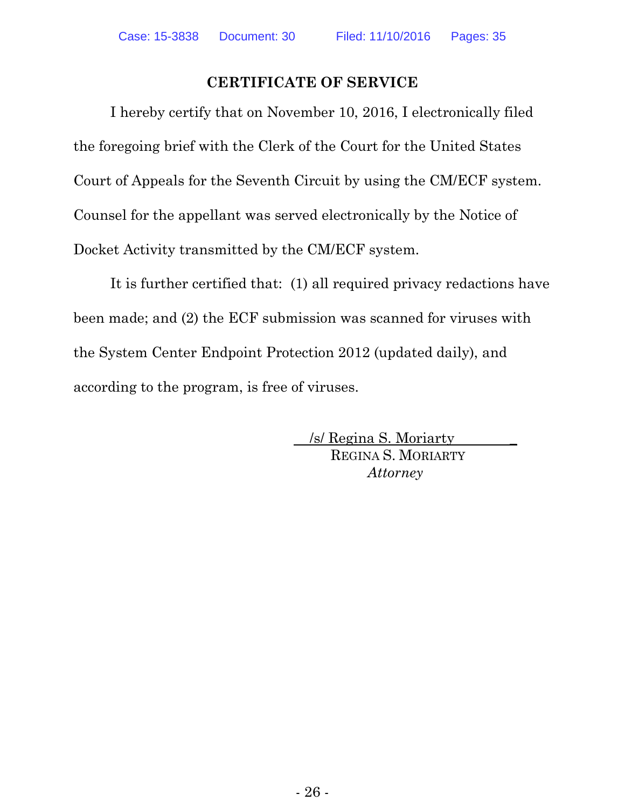# **CERTIFICATE OF SERVICE**

I hereby certify that on November 10, 2016, I electronically filed the foregoing brief with the Clerk of the Court for the United States Court of Appeals for the Seventh Circuit by using the CM/ECF system. Counsel for the appellant was served electronically by the Notice of Docket Activity transmitted by the CM/ECF system.

It is further certified that: (1) all required privacy redactions have been made; and (2) the ECF submission was scanned for viruses with the System Center Endpoint Protection 2012 (updated daily), and according to the program, is free of viruses.

> /s/ Regina S. Moriarty \_ REGINA S. MORIARTY *Attorney*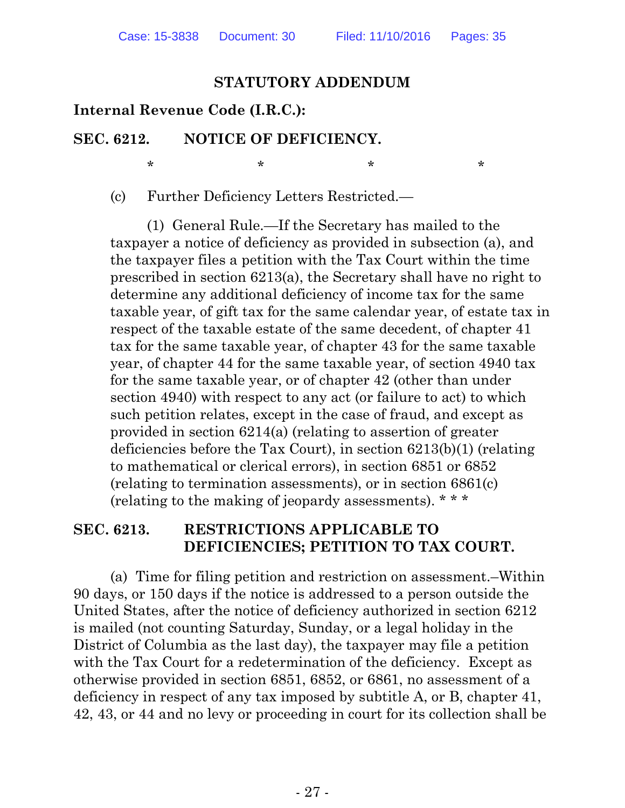#### **STATUTORY ADDENDUM**

#### **Internal Revenue Code (I.R.C.):**

#### **SEC. 6212. NOTICE OF DEFICIENCY.**

 $\star$  \*  $\star$  \*  $\star$  \*

(c) Further Deficiency Letters Restricted.—

(1) General Rule.—If the Secretary has mailed to the taxpayer a notice of deficiency as provided in subsection (a), and the taxpayer files a petition with the Tax Court within the time prescribed in section 6213(a), the Secretary shall have no right to determine any additional deficiency of income tax for the same taxable year, of gift tax for the same calendar year, of estate tax in respect of the taxable estate of the same decedent, of chapter 41 tax for the same taxable year, of chapter 43 for the same taxable year, of chapter 44 for the same taxable year, of section 4940 tax for the same taxable year, or of chapter 42 (other than under section 4940) with respect to any act (or failure to act) to which such petition relates, except in the case of fraud, and except as provided in section 6214(a) (relating to assertion of greater deficiencies before the Tax Court), in section 6213(b)(1) (relating to mathematical or clerical errors), in section 6851 or 6852 (relating to termination assessments), or in section 6861(c) (relating to the making of jeopardy assessments). \* \* \*

#### **SEC. 6213. RESTRICTIONS APPLICABLE TO DEFICIENCIES; PETITION TO TAX COURT.**

(a) Time for filing petition and restriction on assessment.–Within 90 days, or 150 days if the notice is addressed to a person outside the United States, after the notice of deficiency authorized in section 6212 is mailed (not counting Saturday, Sunday, or a legal holiday in the District of Columbia as the last day), the taxpayer may file a petition with the Tax Court for a redetermination of the deficiency. Except as otherwise provided in section 6851, 6852, or 6861, no assessment of a deficiency in respect of any tax imposed by subtitle A, or B, chapter 41, 42, 43, or 44 and no levy or proceeding in court for its collection shall be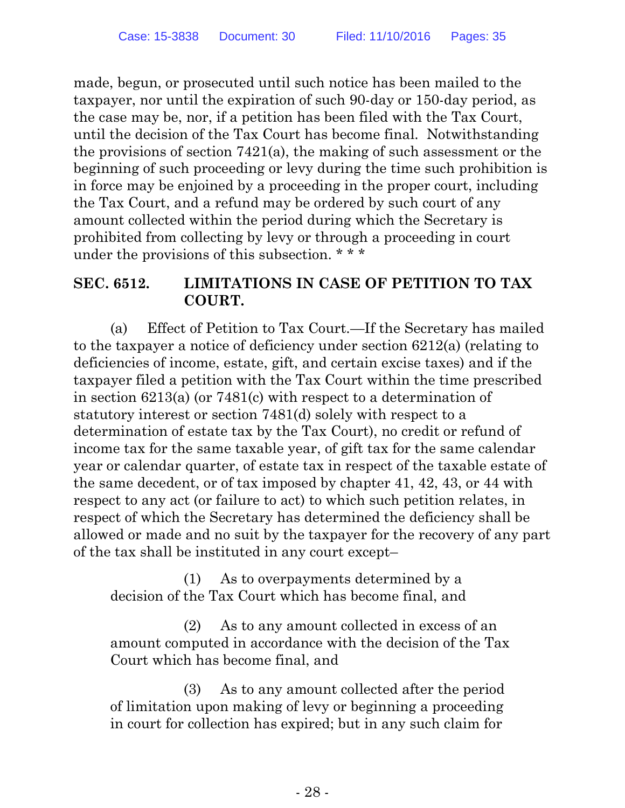made, begun, or prosecuted until such notice has been mailed to the taxpayer, nor until the expiration of such 90-day or 150-day period, as the case may be, nor, if a petition has been filed with the Tax Court, until the decision of the Tax Court has become final. Notwithstanding the provisions of section 7421(a), the making of such assessment or the beginning of such proceeding or levy during the time such prohibition is in force may be enjoined by a proceeding in the proper court, including the Tax Court, and a refund may be ordered by such court of any amount collected within the period during which the Secretary is prohibited from collecting by levy or through a proceeding in court under the provisions of this subsection. \* \* \*

# **SEC. 6512. LIMITATIONS IN CASE OF PETITION TO TAX COURT.**

(a) Effect of Petition to Tax Court.—If the Secretary has mailed to the taxpayer a notice of deficiency under section 6212(a) (relating to deficiencies of income, estate, gift, and certain excise taxes) and if the taxpayer filed a petition with the Tax Court within the time prescribed in section 6213(a) (or 7481(c) with respect to a determination of statutory interest or section 7481(d) solely with respect to a determination of estate tax by the Tax Court), no credit or refund of income tax for the same taxable year, of gift tax for the same calendar year or calendar quarter, of estate tax in respect of the taxable estate of the same decedent, or of tax imposed by chapter 41, 42, 43, or 44 with respect to any act (or failure to act) to which such petition relates, in respect of which the Secretary has determined the deficiency shall be allowed or made and no suit by the taxpayer for the recovery of any part of the tax shall be instituted in any court except–

(1) As to overpayments determined by a decision of the Tax Court which has become final, and

(2) As to any amount collected in excess of an amount computed in accordance with the decision of the Tax Court which has become final, and

(3) As to any amount collected after the period of limitation upon making of levy or beginning a proceeding in court for collection has expired; but in any such claim for